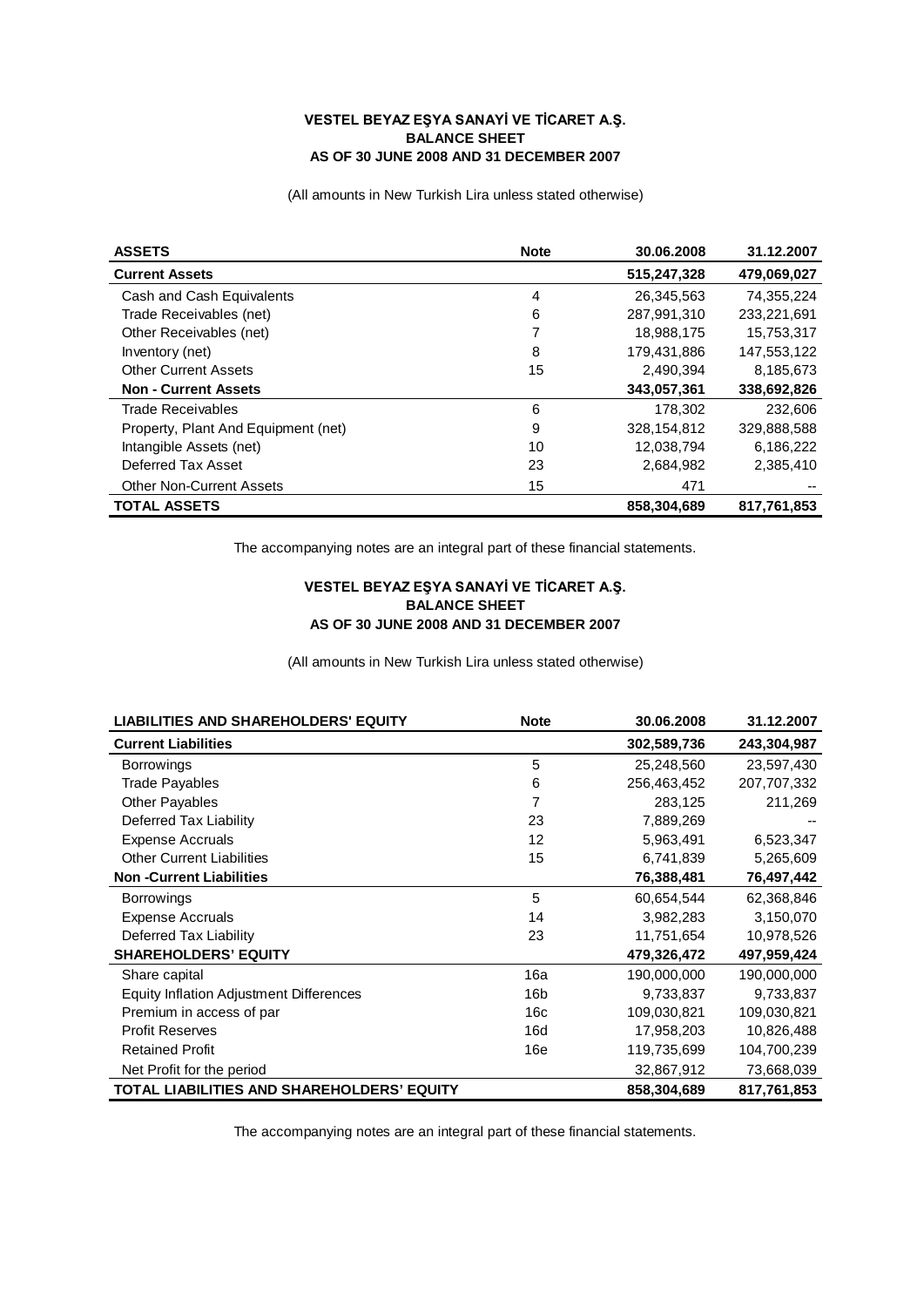## **VESTEL BEYAZ EŞYA SANAYİ VE TİCARET A.Ş. BALANCE SHEET AS OF 30 JUNE 2008 AND 31 DECEMBER 2007**

(All amounts in New Turkish Lira unless stated otherwise)

| <b>ASSETS</b>                       | <b>Note</b> | 30.06.2008  | 31.12.2007  |
|-------------------------------------|-------------|-------------|-------------|
| <b>Current Assets</b>               |             | 515,247,328 | 479,069,027 |
| Cash and Cash Equivalents           | 4           | 26,345,563  | 74.355.224  |
| Trade Receivables (net)             | 6           | 287.991.310 | 233.221.691 |
| Other Receivables (net)             | 7           | 18,988,175  | 15,753,317  |
| Inventory (net)                     | 8           | 179.431.886 | 147,553,122 |
| <b>Other Current Assets</b>         | 15          | 2,490,394   | 8,185,673   |
| <b>Non - Current Assets</b>         |             | 343,057,361 | 338,692,826 |
| Trade Receivables                   | 6           | 178,302     | 232,606     |
| Property, Plant And Equipment (net) | 9           | 328.154.812 | 329,888,588 |
| Intangible Assets (net)             | 10          | 12,038,794  | 6,186,222   |
| Deferred Tax Asset                  | 23          | 2,684,982   | 2,385,410   |
| <b>Other Non-Current Assets</b>     | 15          | 471         |             |
| <b>TOTAL ASSETS</b>                 |             | 858,304,689 | 817,761,853 |

The accompanying notes are an integral part of these financial statements.

## **VESTEL BEYAZ EŞYA SANAYİ VE TİCARET A.Ş. BALANCE SHEET AS OF 30 JUNE 2008 AND 31 DECEMBER 2007**

(All amounts in New Turkish Lira unless stated otherwise)

| <b>LIABILITIES AND SHAREHOLDERS' EQUITY</b>    | <b>Note</b>     | 30.06.2008  | 31.12.2007  |
|------------------------------------------------|-----------------|-------------|-------------|
| <b>Current Liabilities</b>                     |                 | 302,589,736 | 243,304,987 |
| <b>Borrowings</b>                              | 5               | 25,248,560  | 23,597,430  |
| <b>Trade Payables</b>                          | 6               | 256,463,452 | 207,707,332 |
| <b>Other Payables</b>                          | 7               | 283,125     | 211,269     |
| Deferred Tax Liability                         | 23              | 7,889,269   |             |
| <b>Expense Accruals</b>                        | 12              | 5,963,491   | 6,523,347   |
| <b>Other Current Liabilities</b>               | 15              | 6,741,839   | 5,265,609   |
| <b>Non-Current Liabilities</b>                 |                 | 76,388,481  | 76,497,442  |
| <b>Borrowings</b>                              | 5               | 60,654,544  | 62,368,846  |
| <b>Expense Accruals</b>                        | 14              | 3,982,283   | 3,150,070   |
| Deferred Tax Liability                         | 23              | 11,751,654  | 10,978,526  |
| <b>SHAREHOLDERS' EQUITY</b>                    |                 | 479,326,472 | 497,959,424 |
| Share capital                                  | 16a             | 190,000,000 | 190,000,000 |
| <b>Equity Inflation Adjustment Differences</b> | 16 <sub>b</sub> | 9,733,837   | 9,733,837   |
| Premium in access of par                       | 16c             | 109,030,821 | 109,030,821 |
| <b>Profit Reserves</b>                         | 16d             | 17,958,203  | 10,826,488  |
| <b>Retained Profit</b>                         | 16e             | 119,735,699 | 104,700,239 |
| Net Profit for the period                      |                 | 32,867,912  | 73,668,039  |
| TOTAL LIABILITIES AND SHAREHOLDERS' EQUITY     |                 | 858,304,689 | 817,761,853 |

The accompanying notes are an integral part of these financial statements.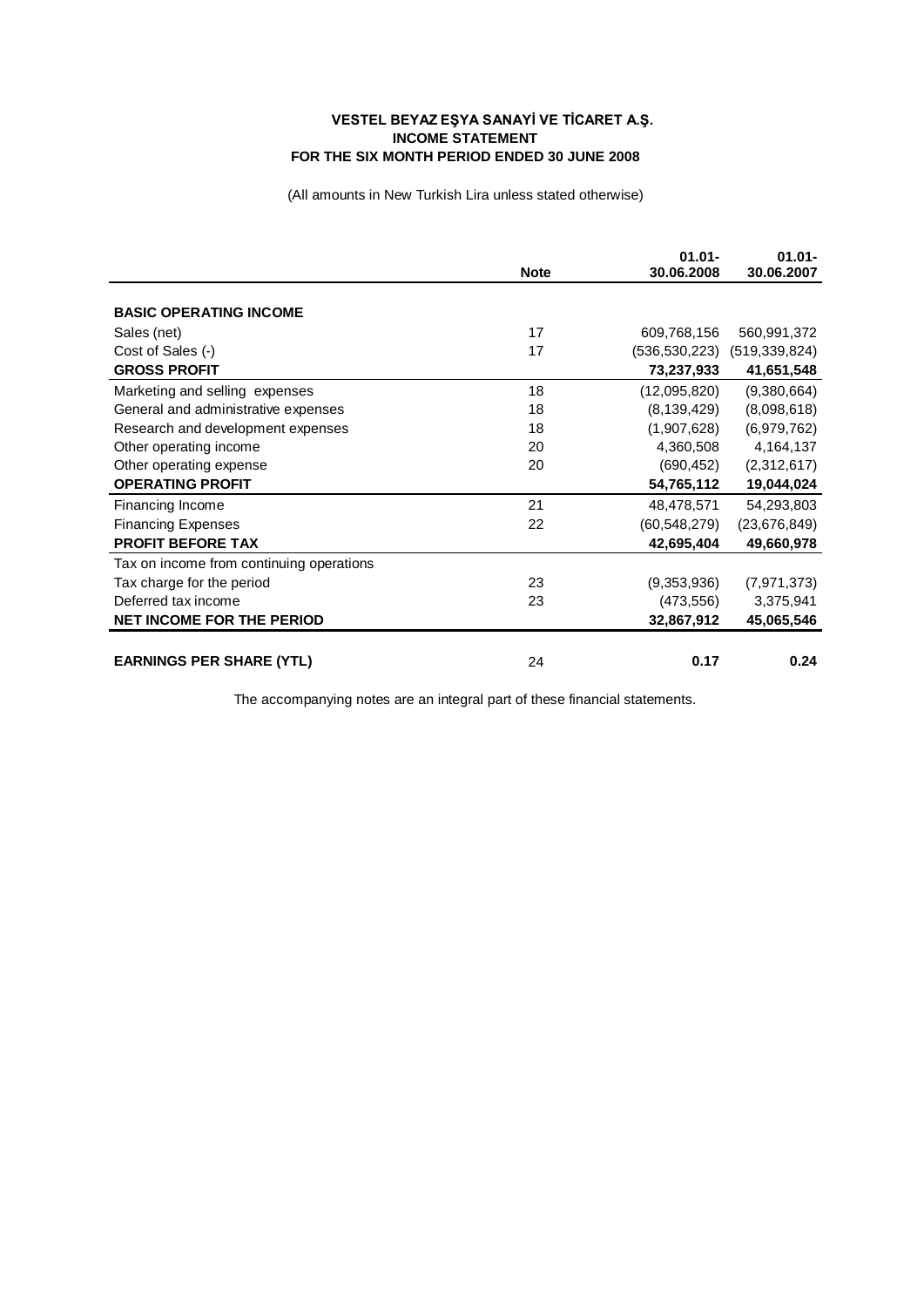## **VESTEL BEYAZ EŞYA SANAYİ VE TİCARET A.Ş. INCOME STATEMENT FOR THE SIX MONTH PERIOD ENDED 30 JUNE 2008**

(All amounts in New Turkish Lira unless stated otherwise)

|                                          | <b>Note</b> | $01.01 -$<br>30.06.2008 | $01.01 -$<br>30.06.2007 |
|------------------------------------------|-------------|-------------------------|-------------------------|
|                                          |             |                         |                         |
| <b>BASIC OPERATING INCOME</b>            |             |                         |                         |
| Sales (net)                              | 17          | 609,768,156             | 560,991,372             |
| Cost of Sales (-)                        | 17          | (536,530,223)           | (519, 339, 824)         |
| <b>GROSS PROFIT</b>                      |             | 73,237,933              | 41,651,548              |
| Marketing and selling expenses           | 18          | (12,095,820)            | (9,380,664)             |
| General and administrative expenses      | 18          | (8, 139, 429)           | (8,098,618)             |
| Research and development expenses        | 18          | (1,907,628)             | (6,979,762)             |
| Other operating income                   | 20          | 4,360,508               | 4,164,137               |
| Other operating expense                  | 20          | (690, 452)              | (2,312,617)             |
| <b>OPERATING PROFIT</b>                  |             | 54,765,112              | 19,044,024              |
| Financing Income                         | 21          | 48,478,571              | 54,293,803              |
| <b>Financing Expenses</b>                | 22          | (60, 548, 279)          | (23, 676, 849)          |
| <b>PROFIT BEFORE TAX</b>                 |             | 42,695,404              | 49,660,978              |
| Tax on income from continuing operations |             |                         |                         |
| Tax charge for the period                | 23          | (9,353,936)             | (7, 971, 373)           |
| Deferred tax income                      | 23          | (473, 556)              | 3,375,941               |
| <b>NET INCOME FOR THE PERIOD</b>         |             | 32,867,912              | 45,065,546              |
|                                          |             |                         |                         |
| <b>EARNINGS PER SHARE (YTL)</b>          | 24          | 0.17                    | 0.24                    |

The accompanying notes are an integral part of these financial statements.